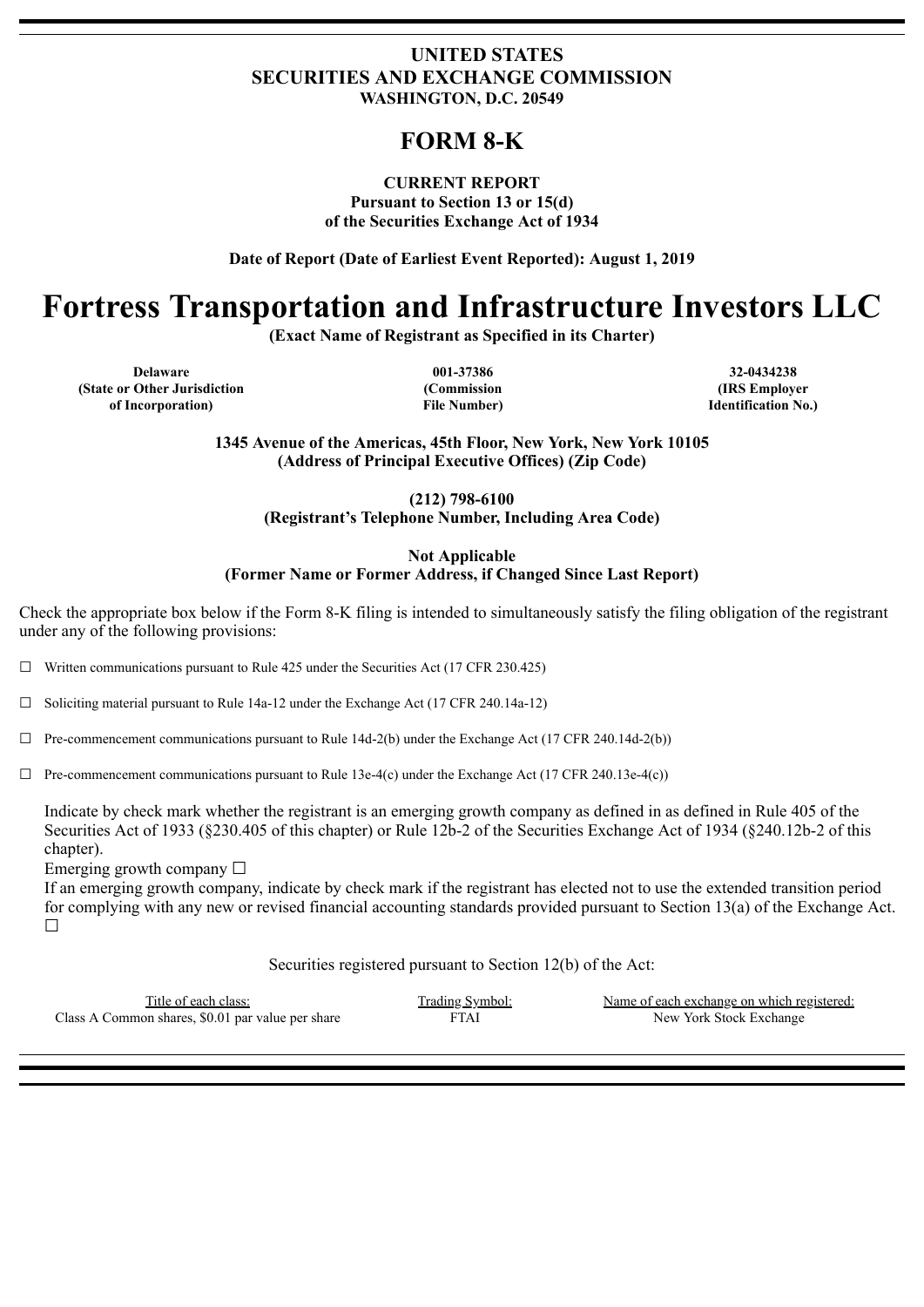# **UNITED STATES SECURITIES AND EXCHANGE COMMISSION WASHINGTON, D.C. 20549**

# **FORM 8-K**

### **CURRENT REPORT**

**Pursuant to Section 13 or 15(d) of the Securities Exchange Act of 1934**

**Date of Report (Date of Earliest Event Reported): August 1, 2019**

# **Fortress Transportation and Infrastructure Investors LLC**

**(Exact Name of Registrant as Specified in its Charter)**

**Delaware 001-37386 32-0434238 (State or Other Jurisdiction of Incorporation)**

**(Commission File Number)**

**(IRS Employer Identification No.)**

**1345 Avenue of the Americas, 45th Floor, New York, New York 10105 (Address of Principal Executive Offices) (Zip Code)**

> **(212) 798-6100 (Registrant's Telephone Number, Including Area Code)**

**Not Applicable (Former Name or Former Address, if Changed Since Last Report)**

Check the appropriate box below if the Form 8-K filing is intended to simultaneously satisfy the filing obligation of the registrant under any of the following provisions:

☐ Written communications pursuant to Rule 425 under the Securities Act (17 CFR 230.425)

 $\Box$  Soliciting material pursuant to Rule 14a-12 under the Exchange Act (17 CFR 240.14a-12)

 $\Box$  Pre-commencement communications pursuant to Rule 14d-2(b) under the Exchange Act (17 CFR 240.14d-2(b))

 $\Box$  Pre-commencement communications pursuant to Rule 13e-4(c) under the Exchange Act (17 CFR 240.13e-4(c))

Indicate by check mark whether the registrant is an emerging growth company as defined in as defined in Rule 405 of the Securities Act of 1933 (§230.405 of this chapter) or Rule 12b-2 of the Securities Exchange Act of 1934 (§240.12b-2 of this chapter).

Emerging growth company  $\Box$ 

If an emerging growth company, indicate by check mark if the registrant has elected not to use the extended transition period for complying with any new or revised financial accounting standards provided pursuant to Section 13(a) of the Exchange Act. ☐

Securities registered pursuant to Section 12(b) of the Act:

Class A Common shares, \$0.01 par value per share FTAI New York Stock Exchange

Trading Symbol: Name of each exchange on which registered: Name of each exchange on which registered: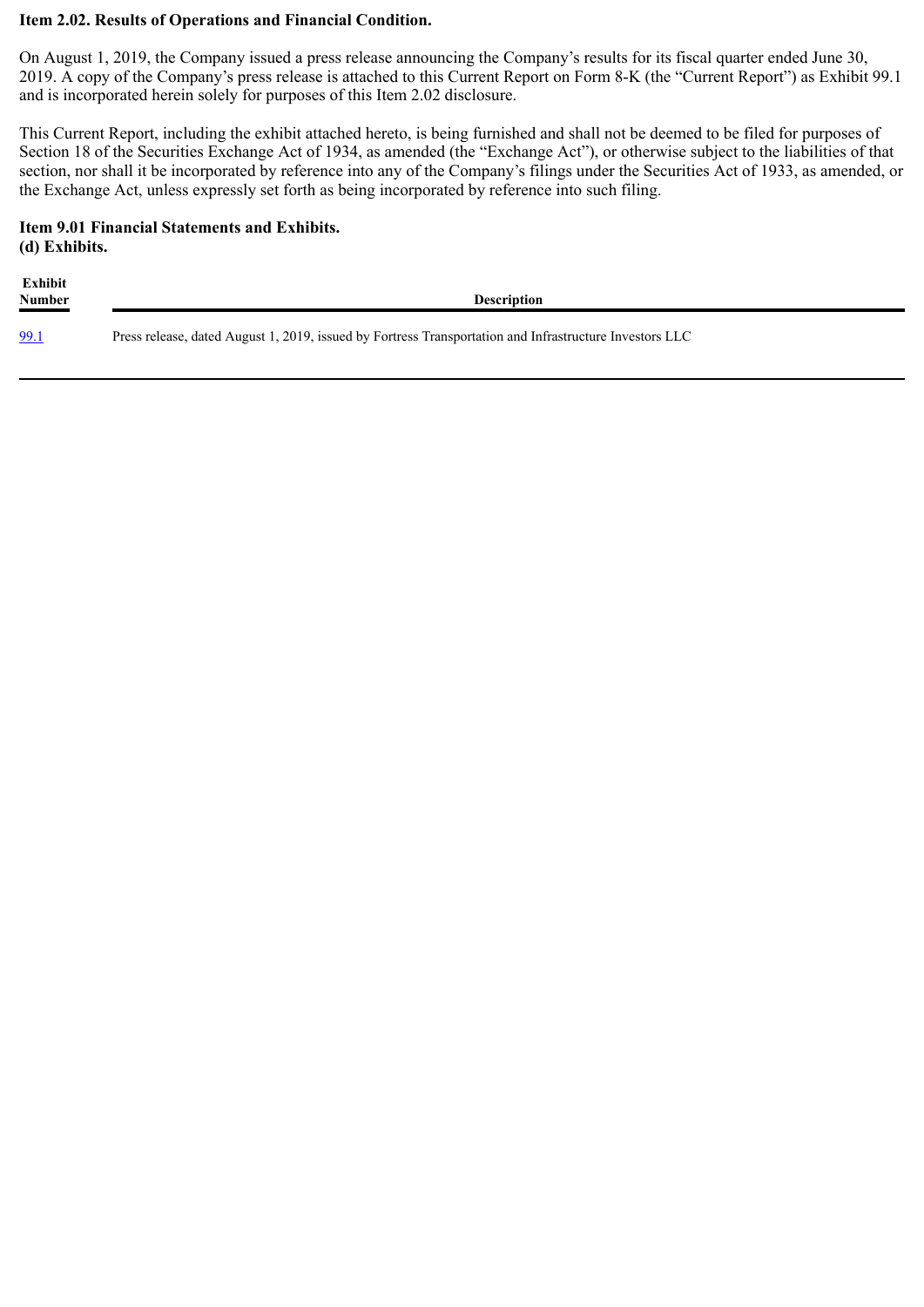### **Item 2.02. Results of Operations and Financial Condition.**

On August 1, 2019, the Company issued a press release announcing the Company's results for its fiscal quarter ended June 30, 2019. A copy of the Company's press release is attached to this Current Report on Form 8-K (the "Current Report") as Exhibit 99.1 and is incorporated herein solely for purposes of this Item 2.02 disclosure.

This Current Report, including the exhibit attached hereto, is being furnished and shall not be deemed to be filed for purposes of Section 18 of the Securities Exchange Act of 1934, as amended (the "Exchange Act"), or otherwise subject to the liabilities of that section, nor shall it be incorporated by reference into any of the Company's filings under the Securities Act of 1933, as amended, or the Exchange Act, unless expressly set forth as being incorporated by reference into such filing.

# **Item 9.01 Financial Statements and Exhibits. (d) Exhibits.**

**Exhibit Number Description** [99.1](#page-3-0) Press release, dated August 1, 2019, issued by Fortress Transportation and Infrastructure Investors LLC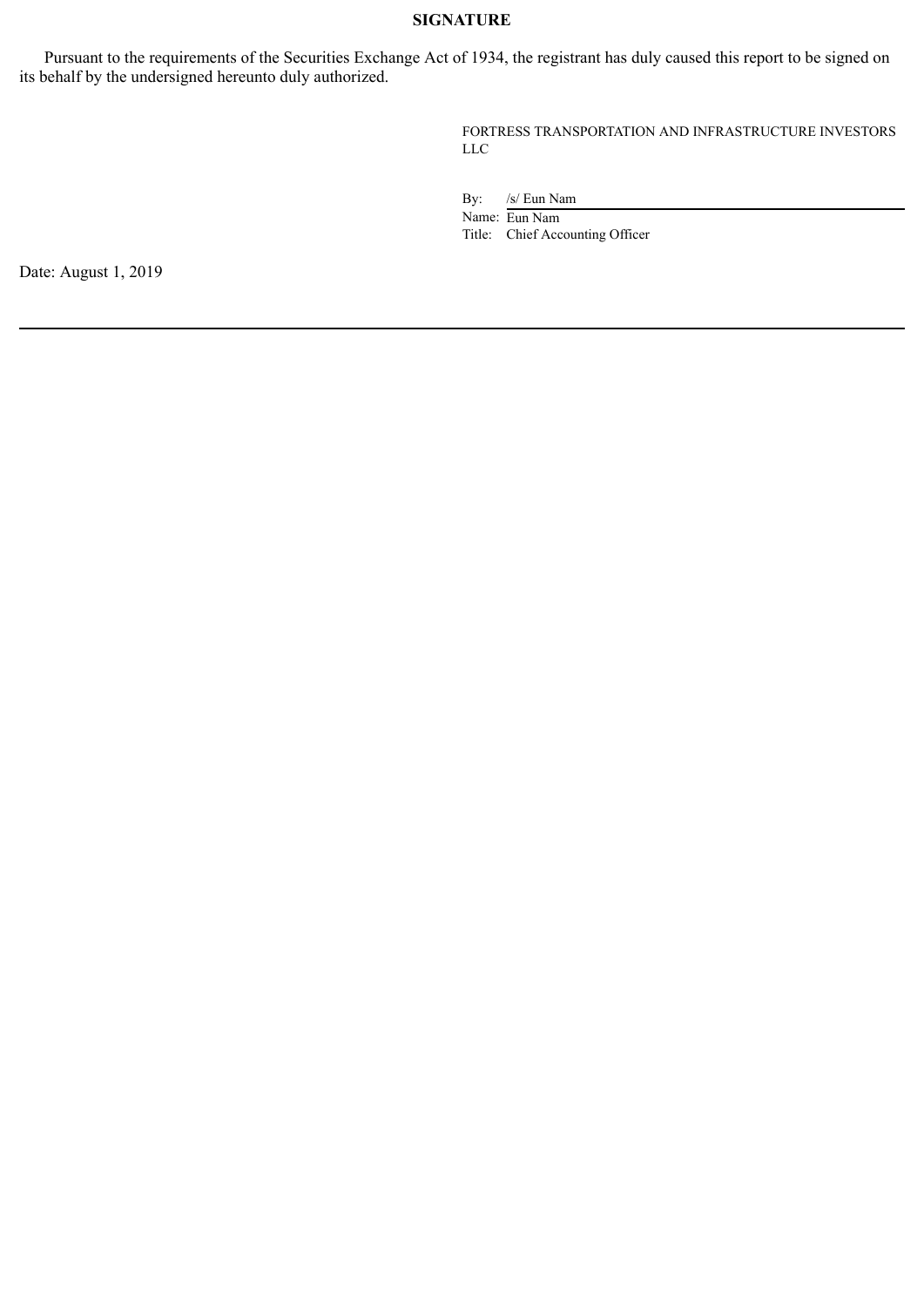### **SIGNATURE**

Pursuant to the requirements of the Securities Exchange Act of 1934, the registrant has duly caused this report to be signed on its behalf by the undersigned hereunto duly authorized.

> FORTRESS TRANSPORTATION AND INFRASTRUCTURE INVESTORS LLC

By: /s/ Eun Nam

Name: Eun Nam Title: Chief Accounting Officer

Date: August 1, 2019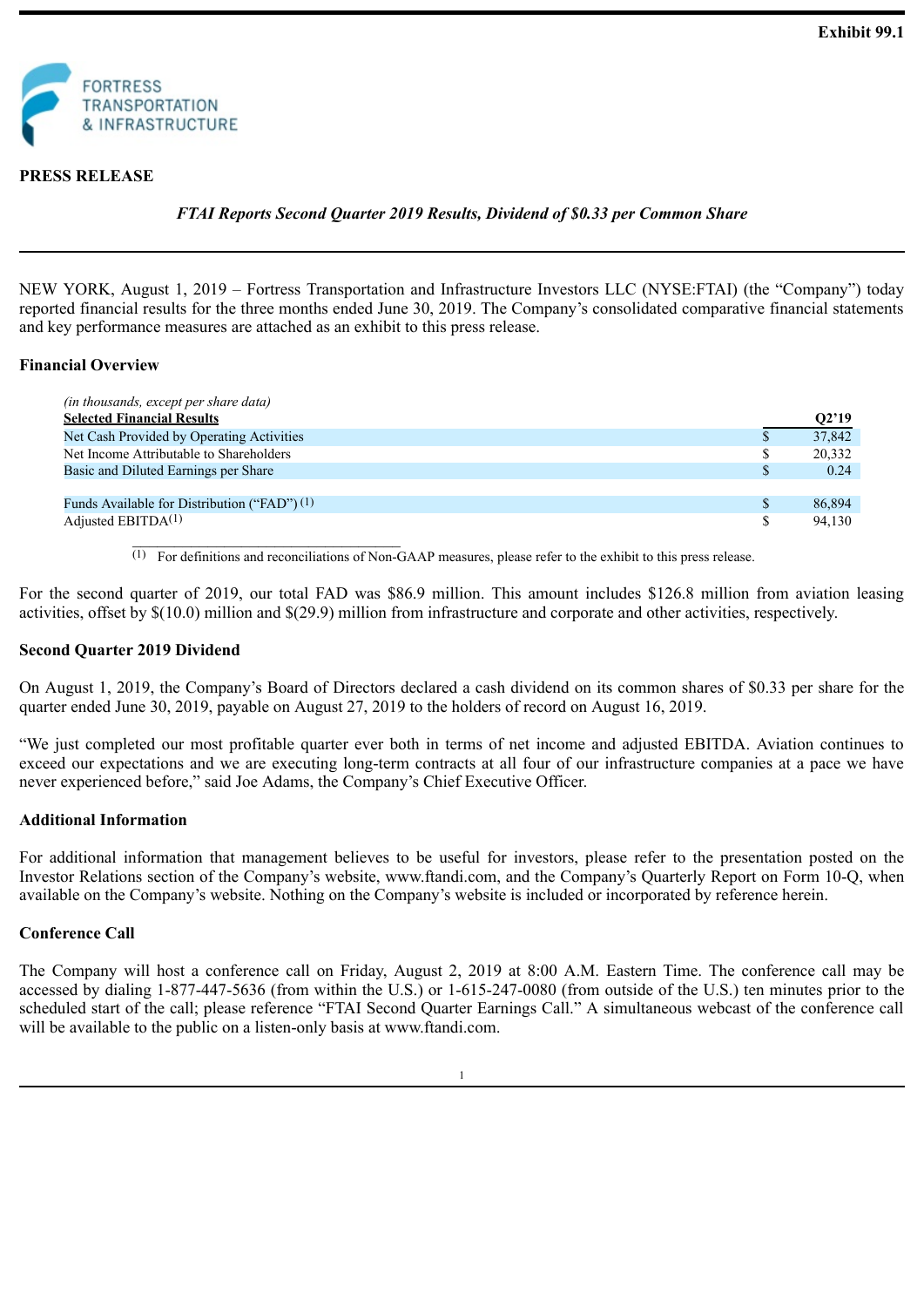<span id="page-3-0"></span>

### **PRESS RELEASE**

*FTAI Reports Second Quarter 2019 Results, Dividend of \$0.33 per Common Share*

NEW YORK, August 1, 2019 – Fortress Transportation and Infrastructure Investors LLC (NYSE:FTAI) (the "Company") today reported financial results for the three months ended June 30, 2019. The Company's consolidated comparative financial statements and key performance measures are attached as an exhibit to this press release.

#### **Financial Overview**

| (in thousands, except per share data)<br><b>Selected Financial Results</b> |              | O2'19  |
|----------------------------------------------------------------------------|--------------|--------|
| Net Cash Provided by Operating Activities                                  |              | 37,842 |
| Net Income Attributable to Shareholders                                    | \$           | 20,332 |
| Basic and Diluted Earnings per Share                                       | $\mathbb{S}$ | 0.24   |
|                                                                            |              |        |
| Funds Available for Distribution ("FAD") $(1)$                             | $\mathbb{S}$ | 86,894 |
| Adjusted EBITDA $(1)$                                                      |              | 94.130 |

 $(1)$  For definitions and reconciliations of Non-GAAP measures, please refer to the exhibit to this press release.

For the second quarter of 2019, our total FAD was \$86.9 million. This amount includes \$126.8 million from aviation leasing activities, offset by \$(10.0) million and \$(29.9) million from infrastructure and corporate and other activities, respectively.

#### **Second Quarter 2019 Dividend**

 $\mathcal{L}_\text{max}$  and  $\mathcal{L}_\text{max}$  and  $\mathcal{L}_\text{max}$  and  $\mathcal{L}_\text{max}$ 

On August 1, 2019, the Company's Board of Directors declared a cash dividend on its common shares of \$0.33 per share for the quarter ended June 30, 2019, payable on August 27, 2019 to the holders of record on August 16, 2019.

"We just completed our most profitable quarter ever both in terms of net income and adjusted EBITDA. Aviation continues to exceed our expectations and we are executing long-term contracts at all four of our infrastructure companies at a pace we have never experienced before," said Joe Adams, the Company's Chief Executive Officer.

#### **Additional Information**

For additional information that management believes to be useful for investors, please refer to the presentation posted on the Investor Relations section of the Company's website, www.ftandi.com, and the Company's Quarterly Report on Form 10-Q, when available on the Company's website. Nothing on the Company's website is included or incorporated by reference herein.

#### **Conference Call**

The Company will host a conference call on Friday, August 2, 2019 at 8:00 A.M. Eastern Time. The conference call may be accessed by dialing 1-877-447-5636 (from within the U.S.) or 1-615-247-0080 (from outside of the U.S.) ten minutes prior to the scheduled start of the call; please reference "FTAI Second Quarter Earnings Call." A simultaneous webcast of the conference call will be available to the public on a listen-only basis at www.ftandi.com.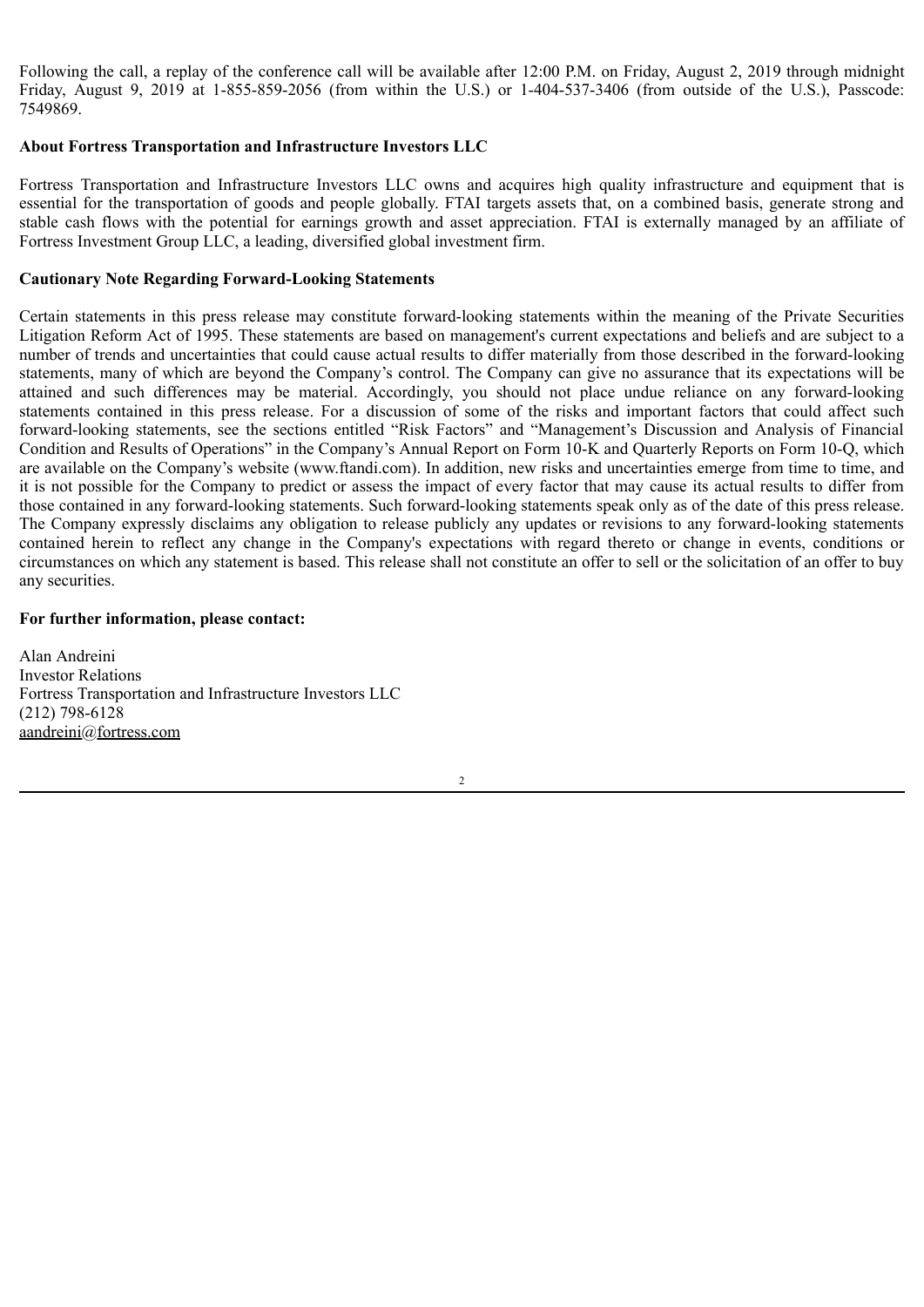Following the call, a replay of the conference call will be available after 12:00 P.M. on Friday, August 2, 2019 through midnight Friday, August 9, 2019 at 1-855-859-2056 (from within the U.S.) or 1-404-537-3406 (from outside of the U.S.), Passcode: 7549869.

### **About Fortress Transportation and Infrastructure Investors LLC**

Fortress Transportation and Infrastructure Investors LLC owns and acquires high quality infrastructure and equipment that is essential for the transportation of goods and people globally. FTAI targets assets that, on a combined basis, generate strong and stable cash flows with the potential for earnings growth and asset appreciation. FTAI is externally managed by an affiliate of Fortress Investment Group LLC, a leading, diversified global investment firm.

#### **Cautionary Note Regarding Forward-Looking Statements**

Certain statements in this press release may constitute forward-looking statements within the meaning of the Private Securities Litigation Reform Act of 1995. These statements are based on management's current expectations and beliefs and are subject to a number of trends and uncertainties that could cause actual results to differ materially from those described in the forward-looking statements, many of which are beyond the Company's control. The Company can give no assurance that its expectations will be attained and such differences may be material. Accordingly, you should not place undue reliance on any forward-looking statements contained in this press release. For a discussion of some of the risks and important factors that could affect such forward-looking statements, see the sections entitled "Risk Factors" and "Management's Discussion and Analysis of Financial Condition and Results of Operations" in the Company's Annual Report on Form 10-K and Quarterly Reports on Form 10-Q, which are available on the Company's website (www.ftandi.com). In addition, new risks and uncertainties emerge from time to time, and it is not possible for the Company to predict or assess the impact of every factor that may cause its actual results to differ from those contained in any forward-looking statements. Such forward-looking statements speak only as of the date of this press release. The Company expressly disclaims any obligation to release publicly any updates or revisions to any forward-looking statements contained herein to reflect any change in the Company's expectations with regard thereto or change in events, conditions or circumstances on which any statement is based. This release shall not constitute an offer to sell or the solicitation of an offer to buy any securities.

#### **For further information, please contact:**

Alan Andreini Investor Relations Fortress Transportation and Infrastructure Investors LLC (212) 798-6128 aandreini@fortress.com

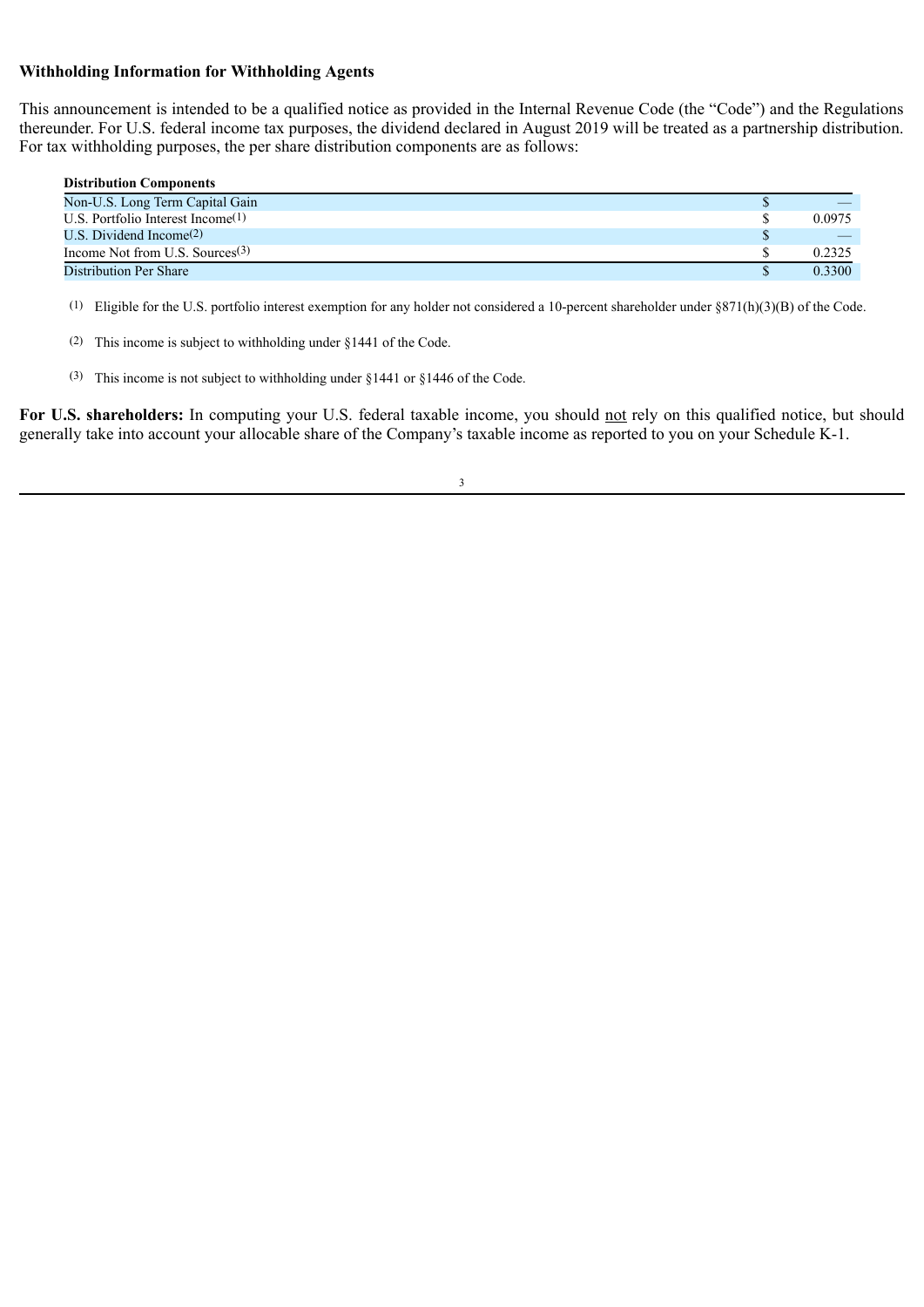### **Withholding Information for Withholding Agents**

This announcement is intended to be a qualified notice as provided in the Internal Revenue Code (the "Code") and the Regulations thereunder. For U.S. federal income tax purposes, the dividend declared in August 2019 will be treated as a partnership distribution. For tax withholding purposes, the per share distribution components are as follows:

| <b>Distribution Components</b>       |        |
|--------------------------------------|--------|
| Non-U.S. Long Term Capital Gain      |        |
| U.S. Portfolio Interest Income $(1)$ | 0.0975 |
| U.S. Dividend Income(2)              |        |
| Income Not from U.S. Sources $(3)$   | 0.2325 |
| Distribution Per Share               | 0.3300 |

(1) Eligible for the U.S. portfolio interest exemption for any holder not considered a 10-percent shareholder under  $\S871(h)(3)(B)$  of the Code.

- (2) This income is subject to withholding under §1441 of the Code.
- (3) This income is not subject to withholding under §1441 or §1446 of the Code.

For U.S. shareholders: In computing your U.S. federal taxable income, you should not rely on this qualified notice, but should generally take into account your allocable share of the Company's taxable income as reported to you on your Schedule K-1.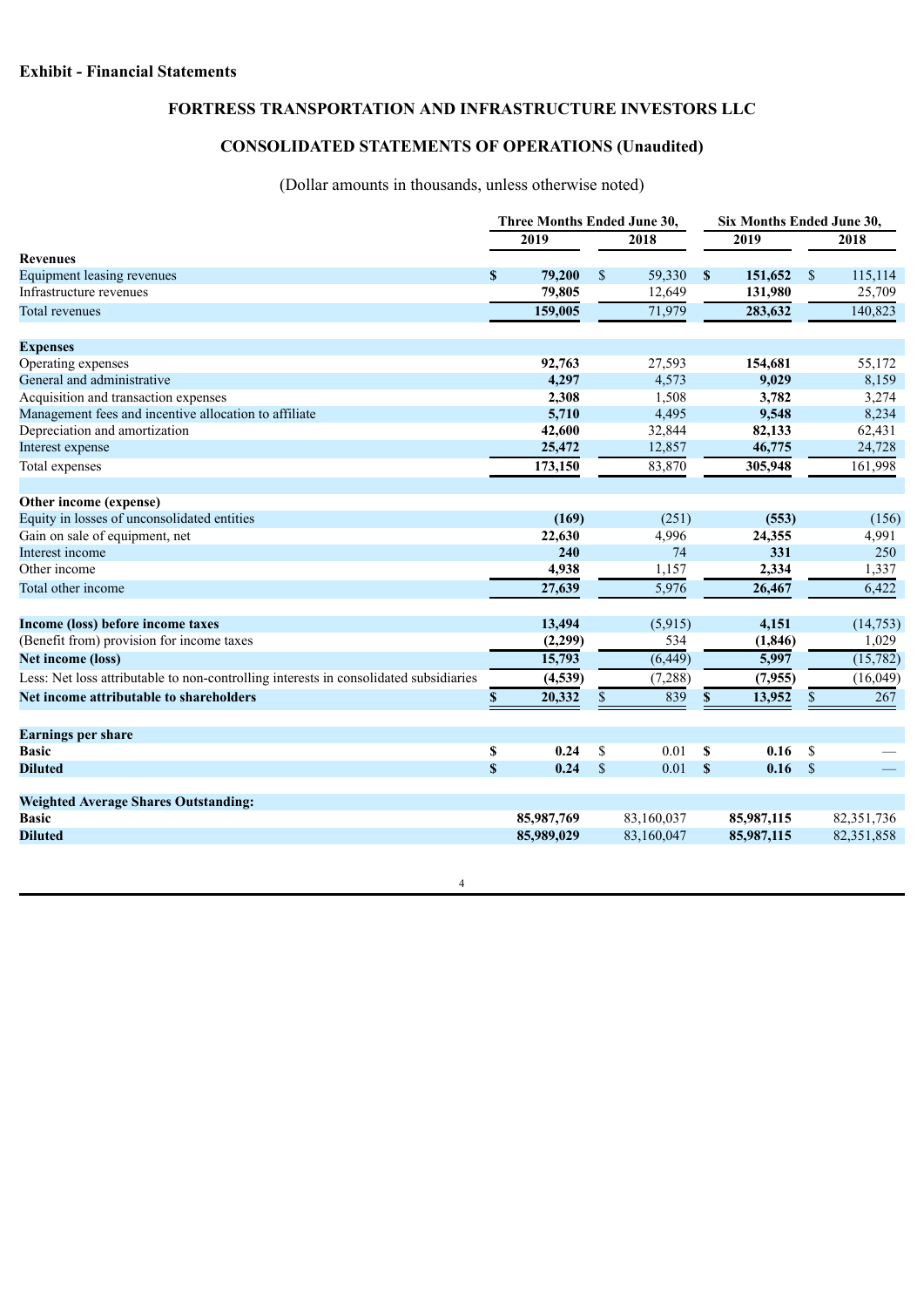# **FORTRESS TRANSPORTATION AND INFRASTRUCTURE INVESTORS LLC**

# **CONSOLIDATED STATEMENTS OF OPERATIONS (Unaudited)**

# (Dollar amounts in thousands, unless otherwise noted)

|                                                                                       | Three Months Ended June 30, |            |              |            |               | Six Months Ended June 30, |               |            |  |  |
|---------------------------------------------------------------------------------------|-----------------------------|------------|--------------|------------|---------------|---------------------------|---------------|------------|--|--|
|                                                                                       | 2019                        |            |              | 2018       | 2019          |                           | 2018          |            |  |  |
| <b>Revenues</b>                                                                       |                             |            |              |            |               |                           |               |            |  |  |
| <b>Equipment leasing revenues</b>                                                     | $\mathbf S$                 | 79,200     | \$           | 59,330     | $\mathbf{s}$  | 151,652                   | $\mathbb{S}$  | 115,114    |  |  |
| Infrastructure revenues                                                               |                             | 79,805     |              | 12,649     |               | 131,980                   |               | 25,709     |  |  |
| <b>Total revenues</b>                                                                 |                             | 159,005    |              | 71,979     |               | 283,632                   |               | 140,823    |  |  |
| <b>Expenses</b>                                                                       |                             |            |              |            |               |                           |               |            |  |  |
| Operating expenses                                                                    |                             | 92,763     |              | 27,593     |               | 154,681                   |               | 55,172     |  |  |
| General and administrative                                                            |                             | 4,297      |              | 4,573      |               | 9,029                     |               | 8,159      |  |  |
| Acquisition and transaction expenses                                                  |                             | 2,308      |              | 1,508      |               | 3,782                     |               | 3,274      |  |  |
| Management fees and incentive allocation to affiliate                                 |                             | 5,710      |              | 4,495      |               | 9,548                     |               | 8,234      |  |  |
| Depreciation and amortization                                                         |                             | 42,600     |              | 32,844     |               | 82,133                    |               | 62,431     |  |  |
| Interest expense                                                                      |                             | 25,472     |              | 12,857     |               | 46,775                    |               | 24,728     |  |  |
| Total expenses                                                                        |                             | 173,150    |              | 83,870     |               | 305,948                   |               | 161,998    |  |  |
| Other income (expense)                                                                |                             |            |              |            |               |                           |               |            |  |  |
| Equity in losses of unconsolidated entities                                           |                             | (169)      |              | (251)      |               | (553)                     |               | (156)      |  |  |
| Gain on sale of equipment, net                                                        |                             | 22,630     |              | 4,996      |               | 24,355                    |               | 4,991      |  |  |
| Interest income                                                                       |                             | 240        |              | 74         |               | 331                       |               | 250        |  |  |
| Other income                                                                          |                             | 4,938      |              | 1,157      |               | 2,334                     |               | 1,337      |  |  |
| Total other income                                                                    |                             | 27,639     |              | 5,976      |               | 26,467                    |               | 6,422      |  |  |
| Income (loss) before income taxes                                                     |                             | 13,494     |              | (5,915)    |               | 4,151                     |               | (14, 753)  |  |  |
| (Benefit from) provision for income taxes                                             |                             | (2,299)    |              | 534        |               | (1, 846)                  |               | 1,029      |  |  |
| <b>Net income (loss)</b>                                                              |                             | 15,793     |              | (6, 449)   |               | 5,997                     |               | (15,782)   |  |  |
| Less: Net loss attributable to non-controlling interests in consolidated subsidiaries |                             | (4, 539)   |              | (7, 288)   |               | (7,955)                   |               | (16,049)   |  |  |
| Net income attributable to shareholders                                               | \$                          | 20,332     | $\mathbb{S}$ | 839        | $\mathbf{s}$  | 13,952                    | \$            | 267        |  |  |
| <b>Earnings per share</b>                                                             |                             |            |              |            |               |                           |               |            |  |  |
| <b>Basic</b>                                                                          | \$                          | 0.24       | \$           | 0.01       | <sup>\$</sup> | 0.16                      | \$            |            |  |  |
| <b>Diluted</b>                                                                        | $\boldsymbol{\mathsf{S}}$   | 0.24       | $\mathbf S$  | 0.01       | $\mathbf{s}$  | 0.16                      | $\mathcal{S}$ |            |  |  |
| <b>Weighted Average Shares Outstanding:</b>                                           |                             |            |              |            |               |                           |               |            |  |  |
| <b>Basic</b>                                                                          |                             | 85,987,769 |              | 83,160,037 |               | 85,987,115                |               | 82,351,736 |  |  |
| <b>Diluted</b>                                                                        |                             | 85,989,029 |              | 83,160,047 |               | 85,987,115                |               | 82,351,858 |  |  |

4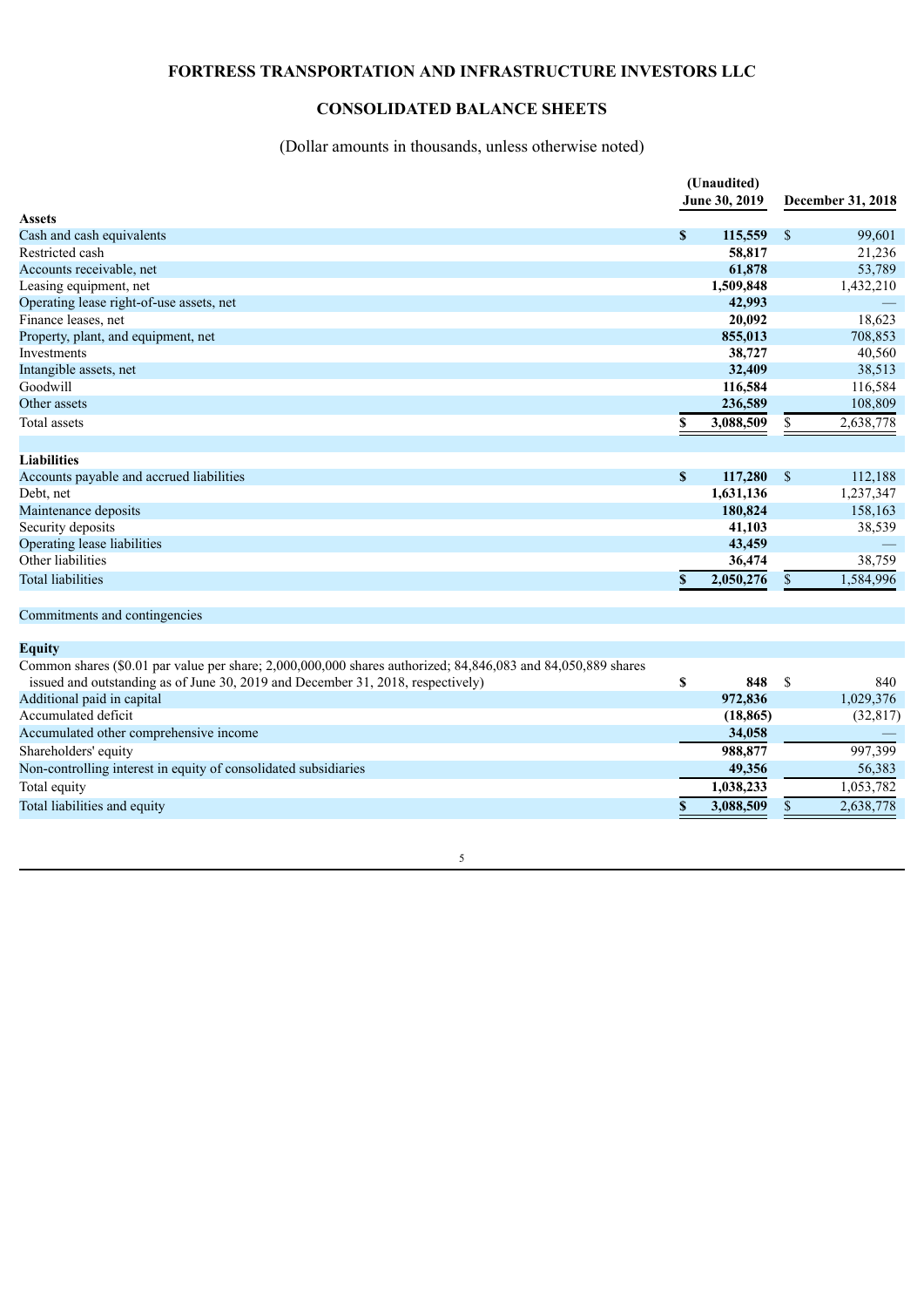# **FORTRESS TRANSPORTATION AND INFRASTRUCTURE INVESTORS LLC**

# **CONSOLIDATED BALANCE SHEETS**

# (Dollar amounts in thousands, unless otherwise noted)

|                                                                                                                                                                                                 | (Unaudited)<br>June 30, 2019 |           |               | December 31, 2018 |
|-------------------------------------------------------------------------------------------------------------------------------------------------------------------------------------------------|------------------------------|-----------|---------------|-------------------|
| <b>Assets</b>                                                                                                                                                                                   |                              |           |               |                   |
| Cash and cash equivalents                                                                                                                                                                       | $\mathbf{s}$                 | 115,559   | <sup>\$</sup> | 99,601            |
| Restricted cash                                                                                                                                                                                 |                              | 58,817    |               | 21,236            |
| Accounts receivable, net                                                                                                                                                                        |                              | 61,878    |               | 53,789            |
| Leasing equipment, net                                                                                                                                                                          |                              | 1,509,848 |               | 1,432,210         |
| Operating lease right-of-use assets, net                                                                                                                                                        |                              | 42,993    |               |                   |
| Finance leases, net                                                                                                                                                                             |                              | 20,092    |               | 18,623            |
| Property, plant, and equipment, net                                                                                                                                                             |                              | 855,013   |               | 708,853           |
| Investments                                                                                                                                                                                     |                              | 38,727    |               | 40,560            |
| Intangible assets, net                                                                                                                                                                          |                              | 32,409    |               | 38,513            |
| Goodwill                                                                                                                                                                                        |                              | 116,584   |               | 116,584           |
| Other assets                                                                                                                                                                                    |                              | 236,589   |               | 108,809           |
| <b>Total assets</b>                                                                                                                                                                             | \$                           | 3,088,509 | \$            | 2,638,778         |
| <b>Liabilities</b>                                                                                                                                                                              |                              |           |               |                   |
| Accounts payable and accrued liabilities                                                                                                                                                        | $\boldsymbol{\mathsf{S}}$    | 117,280   | $\mathbb{S}$  | 112,188           |
| Debt, net                                                                                                                                                                                       |                              | 1,631,136 |               | 1,237,347         |
| Maintenance deposits                                                                                                                                                                            |                              | 180,824   |               | 158,163           |
| Security deposits                                                                                                                                                                               |                              | 41,103    |               | 38,539            |
| Operating lease liabilities                                                                                                                                                                     |                              | 43,459    |               |                   |
| Other liabilities                                                                                                                                                                               |                              | 36,474    |               | 38,759            |
| <b>Total liabilities</b>                                                                                                                                                                        | $\mathbf S$                  | 2,050,276 | \$            | 1,584,996         |
| Commitments and contingencies                                                                                                                                                                   |                              |           |               |                   |
| <b>Equity</b>                                                                                                                                                                                   |                              |           |               |                   |
| Common shares (\$0.01 par value per share; 2,000,000,000 shares authorized; 84,846,083 and 84,050,889 shares<br>issued and outstanding as of June 30, 2019 and December 31, 2018, respectively) | \$                           | 848       | $\mathcal{S}$ | 840               |
| Additional paid in capital                                                                                                                                                                      |                              | 972,836   |               | 1,029,376         |
| Accumulated deficit                                                                                                                                                                             |                              | (18, 865) |               | (32, 817)         |
| Accumulated other comprehensive income                                                                                                                                                          |                              | 34,058    |               |                   |
| Shareholders' equity                                                                                                                                                                            |                              | 988,877   |               | 997,399           |
| Non-controlling interest in equity of consolidated subsidiaries                                                                                                                                 |                              | 49,356    |               | 56,383            |
|                                                                                                                                                                                                 |                              |           |               |                   |
| Total equity                                                                                                                                                                                    |                              | 1,038,233 |               | 1,053,782         |
| Total liabilities and equity                                                                                                                                                                    | \$                           | 3,088,509 | \$            | 2,638,778         |

5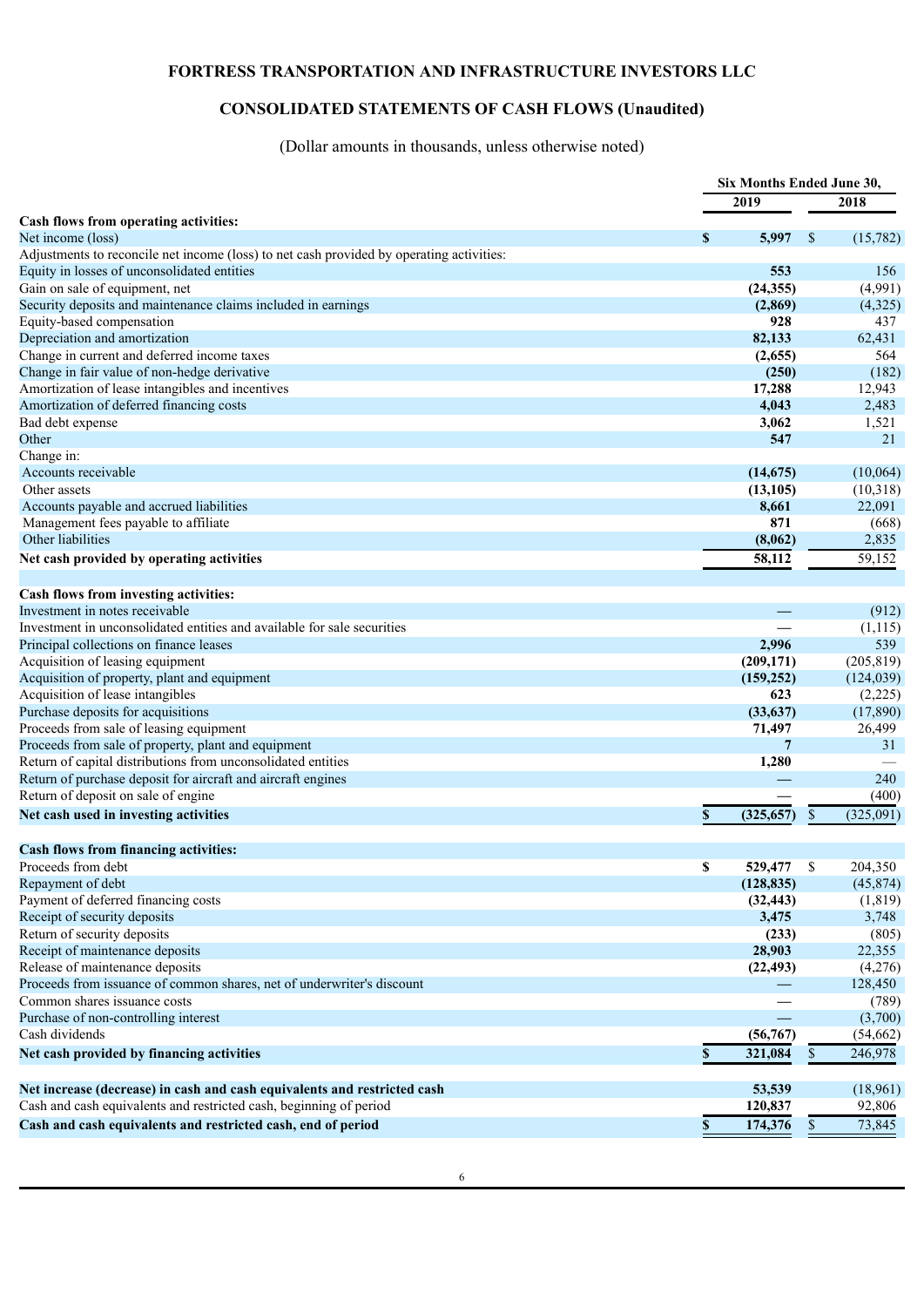# **FORTRESS TRANSPORTATION AND INFRASTRUCTURE INVESTORS LLC**

# **CONSOLIDATED STATEMENTS OF CASH FLOWS (Unaudited)**

(Dollar amounts in thousands, unless otherwise noted)

|                                                                                          | Six Months Ended June 30, |    |                     |
|------------------------------------------------------------------------------------------|---------------------------|----|---------------------|
|                                                                                          | 2019                      |    | 2018                |
| Cash flows from operating activities:                                                    |                           |    |                     |
| Net income (loss)                                                                        | \$<br>5,997               | \$ | (15,782)            |
| Adjustments to reconcile net income (loss) to net cash provided by operating activities: |                           |    |                     |
| Equity in losses of unconsolidated entities                                              | 553                       |    | 156                 |
| Gain on sale of equipment, net                                                           | (24, 355)                 |    | (4,991)             |
| Security deposits and maintenance claims included in earnings                            | (2, 869)                  |    | (4,325)             |
| Equity-based compensation                                                                | 928                       |    | 437                 |
| Depreciation and amortization                                                            | 82,133                    |    | 62,431              |
| Change in current and deferred income taxes                                              | (2,655)                   |    | 564                 |
| Change in fair value of non-hedge derivative                                             | (250)                     |    | (182)               |
| Amortization of lease intangibles and incentives                                         | 17,288                    |    | 12,943              |
| Amortization of deferred financing costs                                                 | 4,043                     |    | 2,483               |
| Bad debt expense                                                                         | 3,062                     |    | 1,521               |
| Other                                                                                    | 547                       |    | 21                  |
| Change in:                                                                               |                           |    |                     |
| Accounts receivable                                                                      | (14, 675)                 |    | (10,064)            |
| Other assets                                                                             | (13, 105)                 |    | (10,318)            |
| Accounts payable and accrued liabilities                                                 | 8,661                     |    | 22,091              |
| Management fees payable to affiliate                                                     | 871                       |    | (668)               |
| Other liabilities                                                                        | (8,062)                   |    | 2,835               |
| Net cash provided by operating activities                                                | 58,112                    |    | $\overline{59,152}$ |
|                                                                                          |                           |    |                     |
| Cash flows from investing activities:                                                    |                           |    |                     |
| Investment in notes receivable                                                           |                           |    | (912)               |
| Investment in unconsolidated entities and available for sale securities                  |                           |    | (1,115)             |
| Principal collections on finance leases                                                  | 2,996                     |    | 539                 |
| Acquisition of leasing equipment                                                         | (209, 171)                |    | (205, 819)          |
| Acquisition of property, plant and equipment                                             | (159, 252)                |    | (124, 039)          |
| Acquisition of lease intangibles                                                         | 623                       |    | (2,225)             |
| Purchase deposits for acquisitions                                                       | (33, 637)                 |    | (17,890)            |
| Proceeds from sale of leasing equipment                                                  | 71,497                    |    | 26,499              |
| Proceeds from sale of property, plant and equipment                                      | 7                         |    | 31                  |
| Return of capital distributions from unconsolidated entities                             | 1,280                     |    |                     |
| Return of purchase deposit for aircraft and aircraft engines                             |                           |    | 240                 |
| Return of deposit on sale of engine                                                      |                           |    | (400)               |
| Net cash used in investing activities                                                    | \$<br>(325, 657)          | \$ | (325,091)           |
|                                                                                          |                           |    |                     |
| <b>Cash flows from financing activities:</b>                                             |                           |    |                     |
| Proceeds from debt                                                                       | \$<br>529,477             | S  | 204,350             |
| Repayment of debt                                                                        | (128, 835)                |    | (45, 874)           |
| Payment of deferred financing costs                                                      | (32, 443)                 |    | (1, 819)            |
| Receipt of security deposits                                                             | 3,475                     |    | 3,748               |
| Return of security deposits                                                              | (233)                     |    | (805)               |
| Receipt of maintenance deposits                                                          | 28,903                    |    | 22,355              |
| Release of maintenance deposits                                                          | (22, 493)                 |    | (4,276)             |
| Proceeds from issuance of common shares, net of underwriter's discount                   |                           |    | 128,450             |
| Common shares issuance costs                                                             |                           |    | (789)               |
| Purchase of non-controlling interest                                                     |                           |    | (3,700)             |
| Cash dividends                                                                           | (56, 767)                 |    | (54, 662)           |
| Net cash provided by financing activities                                                | \$<br>321,084             | \$ | 246,978             |
|                                                                                          |                           |    |                     |
| Net increase (decrease) in cash and cash equivalents and restricted cash                 | 53,539                    |    | (18,961)            |
| Cash and cash equivalents and restricted cash, beginning of period                       | 120,837                   |    | 92,806              |
| Cash and cash equivalents and restricted cash, end of period                             | \$<br>174,376             | \$ | 73,845              |
|                                                                                          |                           |    |                     |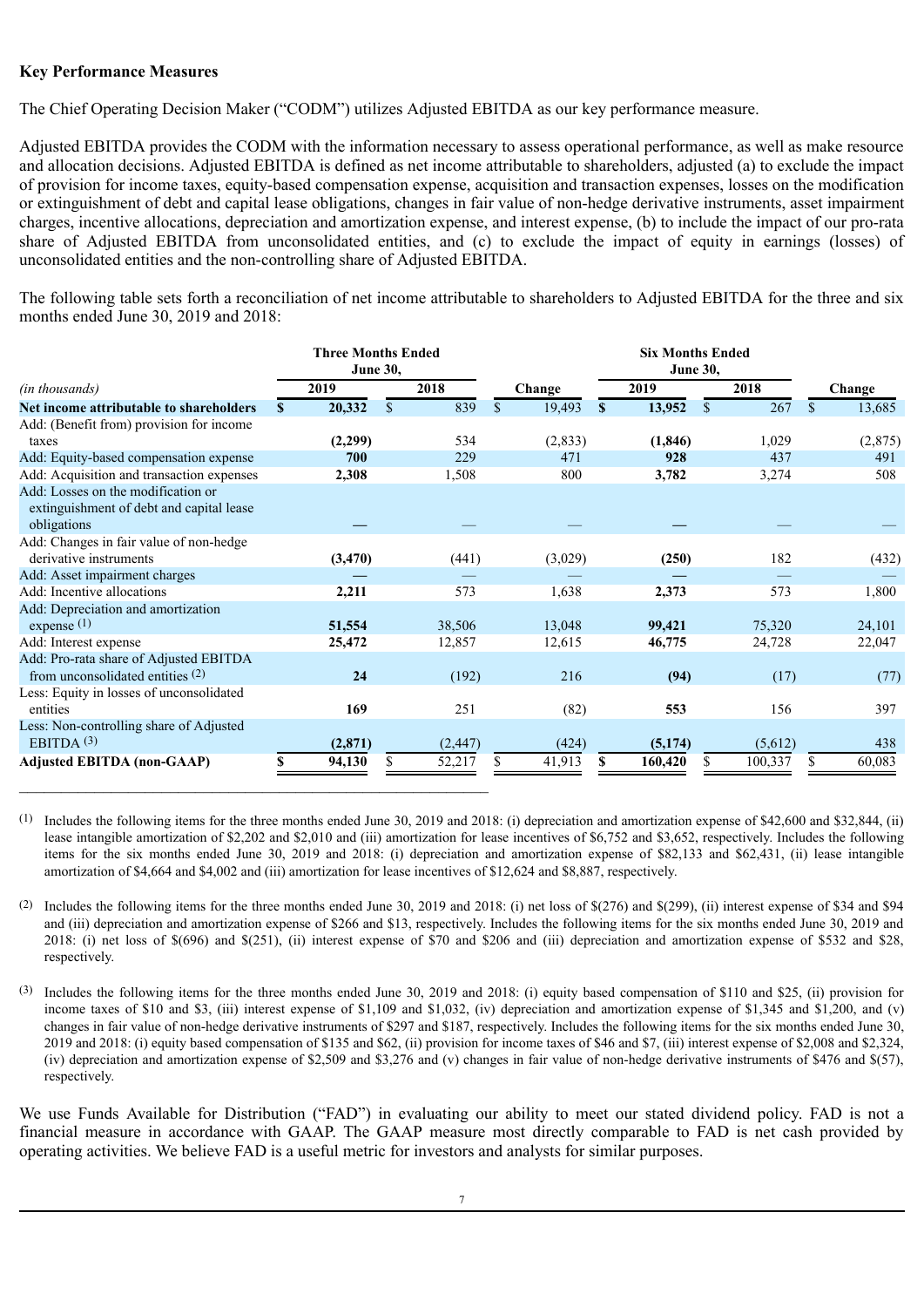# **Key Performance Measures**

The Chief Operating Decision Maker ("CODM") utilizes Adjusted EBITDA as our key performance measure.

Adjusted EBITDA provides the CODM with the information necessary to assess operational performance, as well as make resource and allocation decisions. Adjusted EBITDA is defined as net income attributable to shareholders, adjusted (a) to exclude the impact of provision for income taxes, equity-based compensation expense, acquisition and transaction expenses, losses on the modification or extinguishment of debt and capital lease obligations, changes in fair value of non-hedge derivative instruments, asset impairment charges, incentive allocations, depreciation and amortization expense, and interest expense, (b) to include the impact of our pro-rata share of Adjusted EBITDA from unconsolidated entities, and (c) to exclude the impact of equity in earnings (losses) of unconsolidated entities and the non-controlling share of Adjusted EBITDA.

The following table sets forth a reconciliation of net income attributable to shareholders to Adjusted EBITDA for the three and six months ended June 30, 2019 and 2018:

|                                                                                               | <b>Three Months Ended</b><br><b>June 30,</b> |          |             |          |              | <b>Six Months Ended</b><br><b>June 30,</b> |          |              |         |   |         |  |
|-----------------------------------------------------------------------------------------------|----------------------------------------------|----------|-------------|----------|--------------|--------------------------------------------|----------|--------------|---------|---|---------|--|
| (in thousands)                                                                                |                                              | 2019     |             | 2018     | Change       |                                            | 2019     |              | 2018    |   | Change  |  |
| Net income attributable to shareholders                                                       | S.                                           | 20,332   | $\mathbf S$ | 839      | \$<br>19,493 | S                                          | 13,952   | $\mathbb{S}$ | 267     |   | 13,685  |  |
| Add: (Benefit from) provision for income                                                      |                                              |          |             |          |              |                                            |          |              |         |   |         |  |
| taxes                                                                                         |                                              | (2,299)  |             | 534      | (2, 833)     |                                            | (1, 846) |              | 1,029   |   | (2,875) |  |
| Add: Equity-based compensation expense                                                        |                                              | 700      |             | 229      | 471          |                                            | 928      |              | 437     |   | 491     |  |
| Add: Acquisition and transaction expenses                                                     |                                              | 2,308    |             | 1,508    | 800          |                                            | 3,782    |              | 3,274   |   | 508     |  |
| Add: Losses on the modification or<br>extinguishment of debt and capital lease<br>obligations |                                              |          |             |          |              |                                            |          |              |         |   |         |  |
| Add: Changes in fair value of non-hedge<br>derivative instruments                             |                                              | (3, 470) |             | (441)    | (3,029)      |                                            | (250)    |              | 182     |   | (432)   |  |
| Add: Asset impairment charges                                                                 |                                              |          |             |          |              |                                            |          |              |         |   |         |  |
| Add: Incentive allocations                                                                    |                                              | 2,211    |             | 573      | 1,638        |                                            | 2,373    |              | 573     |   | 1,800   |  |
| Add: Depreciation and amortization<br>expense $(1)$                                           |                                              | 51,554   |             | 38,506   | 13,048       |                                            | 99,421   |              | 75,320  |   | 24,101  |  |
| Add: Interest expense                                                                         |                                              | 25,472   |             | 12,857   | 12,615       |                                            | 46,775   |              | 24,728  |   | 22,047  |  |
| Add: Pro-rata share of Adjusted EBITDA<br>from unconsolidated entities $(2)$                  |                                              | 24       |             | (192)    | 216          |                                            | (94)     |              | (17)    |   | (77)    |  |
| Less: Equity in losses of unconsolidated<br>entities                                          |                                              | 169      |             | 251      | (82)         |                                            | 553      |              | 156     |   | 397     |  |
| Less: Non-controlling share of Adjusted<br>EBITDA $(3)$                                       |                                              | (2,871)  |             | (2, 447) | (424)        |                                            | (5,174)  |              | (5,612) |   | 438     |  |
| <b>Adjusted EBITDA (non-GAAP)</b>                                                             | \$                                           | 94,130   | S           | 52,217   | \$<br>41,913 | S                                          | 160,420  | S.           | 100,337 | S | 60,083  |  |

(1) Includes the following items for the three months ended June 30, 2019 and 2018: (i) depreciation and amortization expense of \$42,600 and \$32,844, (ii) lease intangible amortization of \$2,202 and \$2,010 and (iii) amortization for lease incentives of \$6,752 and \$3,652, respectively. Includes the following items for the six months ended June 30, 2019 and 2018: (i) depreciation and amortization expense of \$82,133 and \$62,431, (ii) lease intangible amortization of \$4,664 and \$4,002 and (iii) amortization for lease incentives of \$12,624 and \$8,887, respectively.

(2) Includes the following items for the three months ended June 30, 2019 and 2018: (i) net loss of \$(276) and \$(299), (ii) interest expense of \$34 and \$94 and (iii) depreciation and amortization expense of \$266 and \$13, respectively. Includes the following items for the six months ended June 30, 2019 and 2018: (i) net loss of \$(696) and \$(251), (ii) interest expense of \$70 and \$206 and (iii) depreciation and amortization expense of \$532 and \$28, respectively.

(3) Includes the following items for the three months ended June 30, 2019 and 2018: (i) equity based compensation of \$110 and \$25, (ii) provision for income taxes of \$10 and \$3, (iii) interest expense of \$1,109 and \$1,032, (iv) depreciation and amortization expense of \$1,345 and \$1,200, and (v) changes in fair value of non-hedge derivative instruments of \$297 and \$187, respectively. Includes the following items for the six months ended June 30, 2019 and 2018: (i) equity based compensation of \$135 and \$62, (ii) provision for income taxes of \$46 and \$7, (iii) interest expense of \$2,008 and \$2,324, (iv) depreciation and amortization expense of \$2,509 and \$3,276 and (v) changes in fair value of non-hedge derivative instruments of \$476 and \$(57), respectively.

We use Funds Available for Distribution ("FAD") in evaluating our ability to meet our stated dividend policy. FAD is not a financial measure in accordance with GAAP. The GAAP measure most directly comparable to FAD is net cash provided by operating activities. We believe FAD is a useful metric for investors and analysts for similar purposes.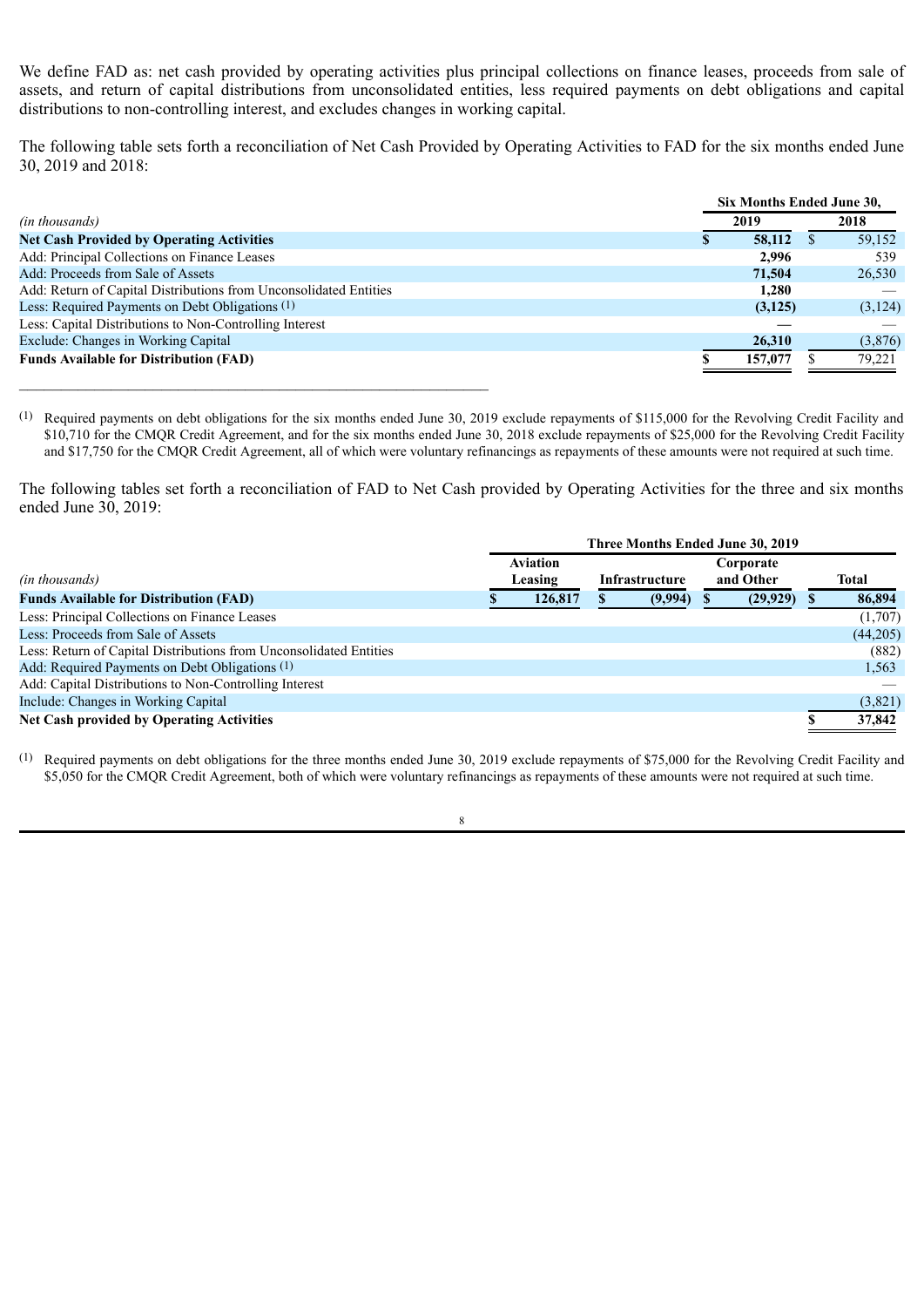We define FAD as: net cash provided by operating activities plus principal collections on finance leases, proceeds from sale of assets, and return of capital distributions from unconsolidated entities, less required payments on debt obligations and capital distributions to non-controlling interest, and excludes changes in working capital.

The following table sets forth a reconciliation of Net Cash Provided by Operating Activities to FAD for the six months ended June 30, 2019 and 2018:

|                                                                   | Six Months Ended June 30, |         |
|-------------------------------------------------------------------|---------------------------|---------|
| <i>(in thousands)</i>                                             | 2019                      | 2018    |
| <b>Net Cash Provided by Operating Activities</b>                  | 58,112<br>S.              | 59,152  |
| Add: Principal Collections on Finance Leases                      | 2.996                     | 539     |
| Add: Proceeds from Sale of Assets                                 | 71,504                    | 26,530  |
| Add: Return of Capital Distributions from Unconsolidated Entities | 1.280                     |         |
| Less: Required Payments on Debt Obligations (1)                   | (3,125)                   | (3,124) |
| Less: Capital Distributions to Non-Controlling Interest           |                           |         |
| Exclude: Changes in Working Capital                               | 26,310                    | (3,876) |
| <b>Funds Available for Distribution (FAD)</b>                     | 157,077                   | 79,221  |
|                                                                   |                           |         |

(1) Required payments on debt obligations for the six months ended June 30, 2019 exclude repayments of \$115,000 for the Revolving Credit Facility and \$10,710 for the CMQR Credit Agreement, and for the six months ended June 30, 2018 exclude repayments of \$25,000 for the Revolving Credit Facility and \$17,750 for the CMQR Credit Agreement, all of which were voluntary refinancings as repayments of these amounts were not required at such time.

The following tables set forth a reconciliation of FAD to Net Cash provided by Operating Activities for the three and six months ended June 30, 2019:

|                                                                    |  | Three Months Ended June 30, 2019 |  |         |  |                        |  |              |  |
|--------------------------------------------------------------------|--|----------------------------------|--|---------|--|------------------------|--|--------------|--|
| <i>(in thousands)</i>                                              |  | <b>Aviation</b><br>Leasing       |  |         |  | Corporate<br>and Other |  | <b>Total</b> |  |
| <b>Funds Available for Distribution (FAD)</b>                      |  | 126,817                          |  | (9,994) |  | (29, 929)              |  | 86,894       |  |
| Less: Principal Collections on Finance Leases                      |  |                                  |  |         |  |                        |  | (1,707)      |  |
| Less: Proceeds from Sale of Assets                                 |  |                                  |  |         |  |                        |  | (44,205)     |  |
| Less: Return of Capital Distributions from Unconsolidated Entities |  |                                  |  |         |  |                        |  | (882)        |  |
| Add: Required Payments on Debt Obligations (1)                     |  |                                  |  |         |  |                        |  | 1,563        |  |
| Add: Capital Distributions to Non-Controlling Interest             |  |                                  |  |         |  |                        |  |              |  |
| Include: Changes in Working Capital                                |  |                                  |  |         |  |                        |  | (3,821)      |  |
| Net Cash provided by Operating Activities                          |  |                                  |  |         |  |                        |  | 37,842       |  |

(1) Required payments on debt obligations for the three months ended June 30, 2019 exclude repayments of \$75,000 for the Revolving Credit Facility and \$5,050 for the CMOR Credit Agreement, both of which were voluntary refinancings as repayments of these amounts were not required at such time.